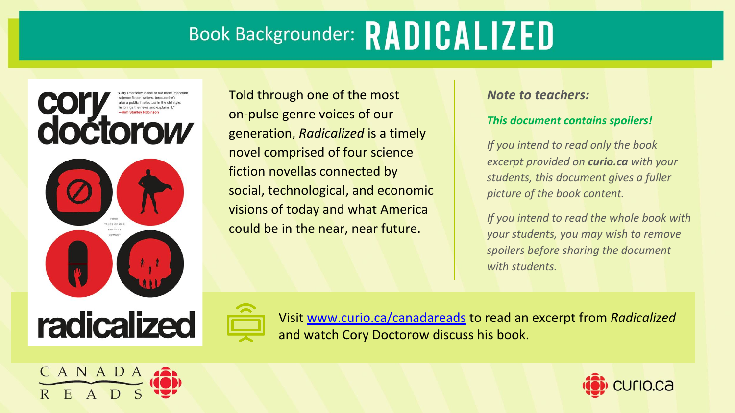

Told through one of the most on-pulse genre voices of our generation, *Radicalized* is a timely novel comprised of four science fiction novellas connected by social, technological, and economic visions of today and what America could be in the near, near future.

#### *Note to teachers:*

#### *This document contains spoilers!*

*If you intend to read only the book excerpt provided on curio.ca with your students, this document gives a fuller picture of the book content.*

*If you intend to read the whole book with your students, you may wish to remove spoilers before sharing the document with students.*



Visit [www.curio.ca/canadareads](http://www.curio.ca/canadareads) to read an excerpt from *Radicalized* and watch Cory Doctorow discuss his book.



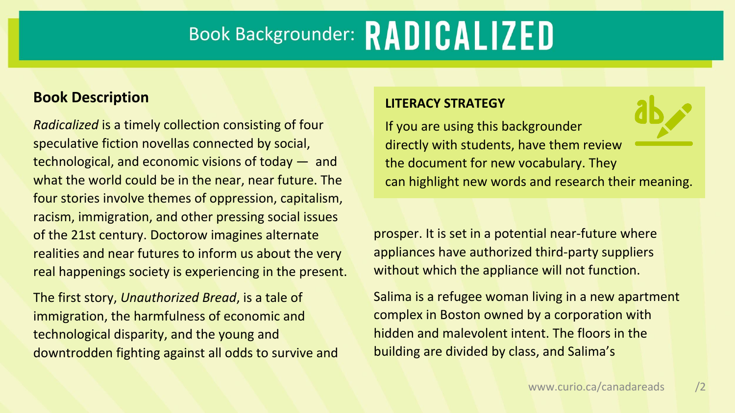#### **Book Description**

*Radicalized* is a timely collection consisting of four speculative fiction novellas connected by social, technological, and economic visions of today — and what the world could be in the near, near future. The four stories involve themes of oppression, capitalism, racism, immigration, and other pressing social issues of the 21st century. Doctorow imagines alternate realities and near futures to inform us about the very real happenings society is experiencing in the present.

The first story, *Unauthorized Bread*, is a tale of immigration, the harmfulness of economic and technological disparity, and the young and downtrodden fighting against all odds to survive and

#### **LITERACY STRATEGY**

If you are using this backgrounder directly with students, have them review the document for new vocabulary. They can highlight new words and research their meaning.

prosper. It is set in a potential near-future where appliances have authorized third-party suppliers without which the appliance will not function.

Salima is a refugee woman living in a new apartment complex in Boston owned by a corporation with hidden and malevolent intent. The floors in the building are divided by class, and Salima's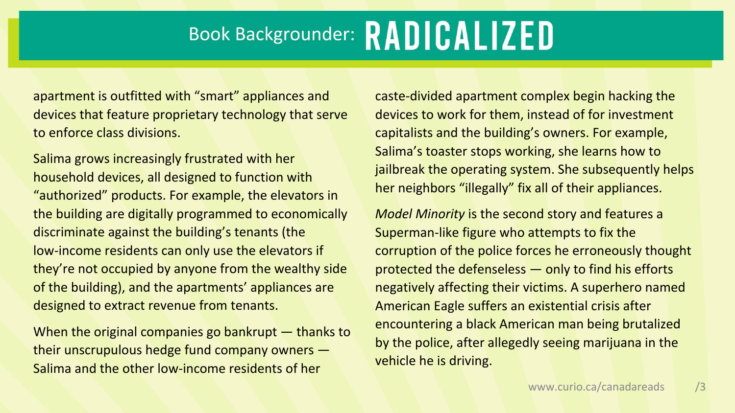apartment is outfitted with "smart" appliances and devices that feature proprietary technology that serve to enforce class divisions.

Salima grows increasingly frustrated with her household devices, all designed to function with "authorized" products. For example, the elevators in the building are digitally programmed to economically discriminate against the building's tenants (the low-income residents can only use the elevators if they're not occupied by anyone from the wealthy side of the building), and the apartments' appliances are designed to extract revenue from tenants.

When the original companies go bankrupt – thanks to their unscrupulous hedge fund company owners — Salima and the other low-income residents of her

caste-divided apartment complex begin hacking the devices to work for them, instead of for investment capitalists and the building's owners. For example, Salima's toaster stops working, she learns how to jailbreak the operating system. She subsequently helps her neighbors "illegally" fix all of their appliances.

*Model Minority* is the second story and features a Superman-like figure who attempts to fix the corruption of the police forces he erroneously thought protected the defenseless — only to find his efforts negatively affecting their victims. A superhero named American Eagle suffers an existential crisis after encountering a black American man being brutalized by the police, after allegedly seeing marijuana in the vehicle he is driving.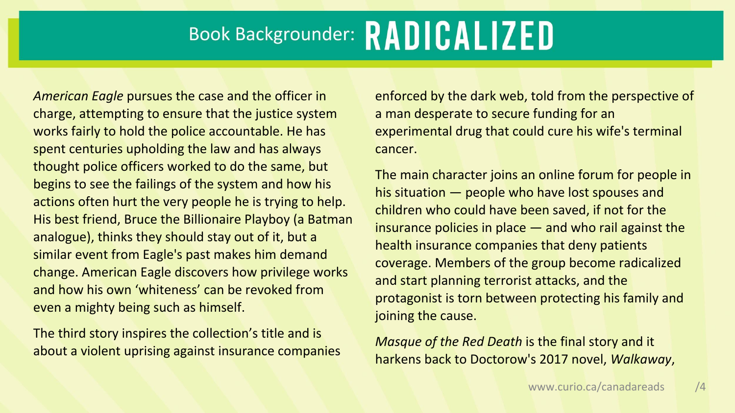*American Eagle* pursues the case and the officer in charge, attempting to ensure that the justice system works fairly to hold the police accountable. He has spent centuries upholding the law and has always thought police officers worked to do the same, but begins to see the failings of the system and how his actions often hurt the very people he is trying to help. His best friend, Bruce the Billionaire Playboy (a Batman analogue), thinks they should stay out of it, but a similar event from Eagle's past makes him demand change. American Eagle discovers how privilege works and how his own 'whiteness' can be revoked from even a mighty being such as himself.

The third story inspires the collection's title and is about a violent uprising against insurance companies enforced by the dark web, told from the perspective of a man desperate to secure funding for an experimental drug that could cure his wife's terminal cancer.

The main character joins an online forum for people in his situation — people who have lost spouses and children who could have been saved, if not for the insurance policies in place — and who rail against the health insurance companies that deny patients coverage. Members of the group become radicalized and start planning terrorist attacks, and the protagonist is torn between protecting his family and joining the cause.

*Masque of the Red Death* is the final story and it harkens back to Doctorow's 2017 novel, *Walkaway*,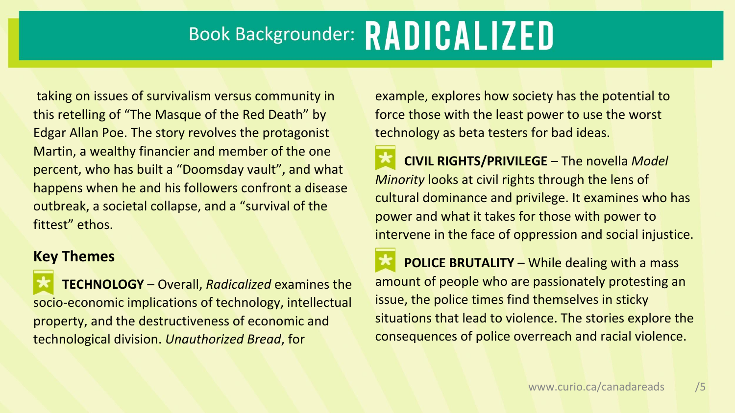taking on issues of survivalism versus community in this retelling of "The Masque of the Red Death" by Edgar Allan Poe. The story revolves the protagonist Martin, a wealthy financier and member of the one percent, who has built a "Doomsday vault", and what happens when he and his followers confront a disease outbreak, a societal collapse, and a "survival of the fittest" ethos.

#### **Key Themes**

**TECHNOLOGY** – Overall, *Radicalized* examines the socio-economic implications of technology, intellectual property, and the destructiveness of economic and technological division. *Unauthorized Bread*, for

example, explores how society has the potential to force those with the least power to use the worst technology as beta testers for bad ideas.

**CIVIL RIGHTS/PRIVILEGE** – The novella *Model Minority* looks at civil rights through the lens of cultural dominance and privilege. It examines who has power and what it takes for those with power to intervene in the face of oppression and social injustice.

**POLICE BRUTALITY** – While dealing with a mass amount of people who are passionately protesting an issue, the police times find themselves in sticky situations that lead to violence. The stories explore the consequences of police overreach and racial violence.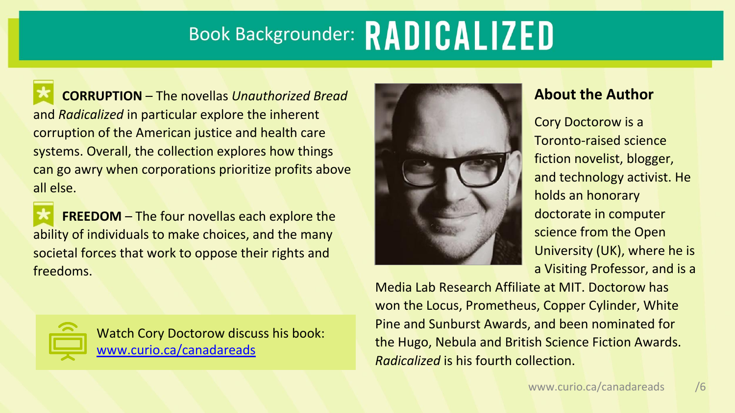**CORRUPTION** – The novellas *Unauthorized Bread* and *Radicalized* in particular explore the inherent corruption of the American justice and health care systems. Overall, the collection explores how things can go awry when corporations prioritize profits above all else.

**FREEDOM** – The four novellas each explore the ability of individuals to make choices, and the many societal forces that work to oppose their rights and freedoms.



Watch Cory Doctorow discuss his book: [www.curio.ca/canadareads](http://www.curio.ca/canadareads)



### **About the Author**

Cory Doctorow is a Toronto-raised science fiction novelist, blogger, and technology activist. He holds an honorary doctorate in computer science from the Open University (UK), where he is a Visiting Professor, and is a

Media Lab Research Affiliate at MIT. Doctorow has won the Locus, Prometheus, Copper Cylinder, White Pine and Sunburst Awards, and been nominated for the Hugo, Nebula and British Science Fiction Awards. *Radicalized* is his fourth collection.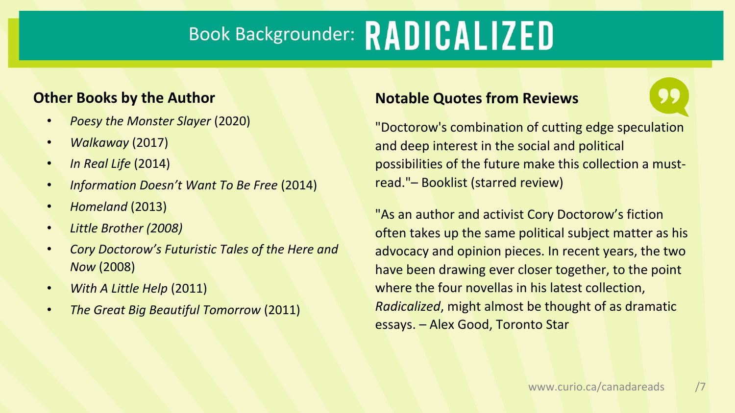### **Other Books by the Author**

- *Poesy the Monster Slayer* (2020)
- *Walkaway* (2017)
- *In Real Life* (2014)
- *Information Doesn't Want To Be Free* (2014)
- *Homeland* (2013)
- *Little Brother (2008)*
- *Cory Doctorow's Futuristic Tales of the Here and Now* (2008)
- *With A Little Help* (2011)
- *The Great Big Beautiful Tomorrow* (2011)

### **Notable Quotes from Reviews**

"Doctorow's combination of cutting edge speculation and deep interest in the social and political possibilities of the future make this collection a mustread."– Booklist (starred review)

"As an author and activist Cory Doctorow's fiction often takes up the same political subject matter as his advocacy and opinion pieces. In recent years, the two have been drawing ever closer together, to the point where the four novellas in his latest collection, *Radicalized*, might almost be thought of as dramatic essays. – Alex Good, Toronto Star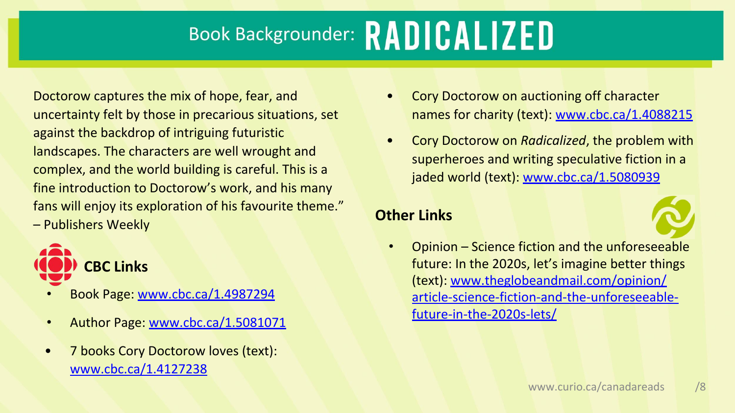Doctorow captures the mix of hope, fear, and uncertainty felt by those in precarious situations, set against the backdrop of intriguing futuristic landscapes. The characters are well wrought and complex, and the world building is careful. This is a fine introduction to Doctorow's work, and his many fans will enjoy its exploration of his favourite theme." – Publishers Weekly



- Book Page: [www.cbc.ca/1.4987294](https://www.cbc.ca/books/radicalized-by-cory-doctorow-1.4987294)
- Author Page: [www.cbc.ca/1.5081071](https://www.cbc.ca/books/cory-doctorow-1.5081071)
- 7 books Cory Doctorow loves (text): [www.cbc.ca/1.4127238](http://cbc.ca/1.4127238)
- Cory Doctorow on auctioning off character names for charity (text): [www.cbc.ca/1.4088215](http://cbc.ca/1.4088215)
- Cory Doctorow on *Radicalized*, the problem with superheroes and writing speculative fiction in a jaded world (text): [www.cbc.ca/1.5080939](https://www.cbc.ca/1.5080939)

### **Other Links**



• Opinion – Science fiction and the unforeseeable future: In the 2020s, let's imagine better things (text): [www.theglobeandmail.com/opinion/](https://www.theglobeandmail.com/opinion/article-science-fiction-and-the-unforeseeable-future-in-the-2020s-lets/) [article-science-fiction-and-the-unforeseeable](https://www.theglobeandmail.com/opinion/article-science-fiction-and-the-unforeseeable-future-in-the-2020s-lets/)[future-in-the-2020s-lets/](https://www.theglobeandmail.com/opinion/article-science-fiction-and-the-unforeseeable-future-in-the-2020s-lets/)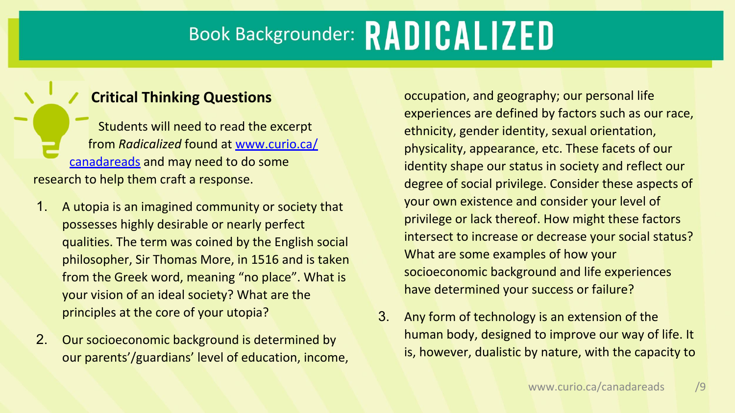### **Critical Thinking Questions**

Students will need to read the excerpt ffrom *Radicalized* found at [www.curio.ca/](http://www.curio.ca/canadareads) [canadareads](http://www.curio.ca/canadareads) and may need to do some research to help them craft a response.

- 1. A utopia is an imagined community or society that possesses highly desirable or nearly perfect qualities. The term was coined by the English social philosopher, Sir Thomas More, in 1516 and is taken from the Greek word, meaning "no place". What is your vision of an ideal society? What are the principles at the core of your utopia?
- 2. Our socioeconomic background is determined by our parents'/guardians' level of education, income,

occupation, and geography; our personal life experiences are defined by factors such as our race, ethnicity, gender identity, sexual orientation, physicality, appearance, etc. These facets of our identity shape our status in society and reflect our degree of social privilege. Consider these aspects of your own existence and consider your level of privilege or lack thereof. How might these factors intersect to increase or decrease your social status? What are some examples of how your socioeconomic background and life experiences have determined your success or failure?

3. Any form of technology is an extension of the human body, designed to improve our way of life. It is, however, dualistic by nature, with the capacity to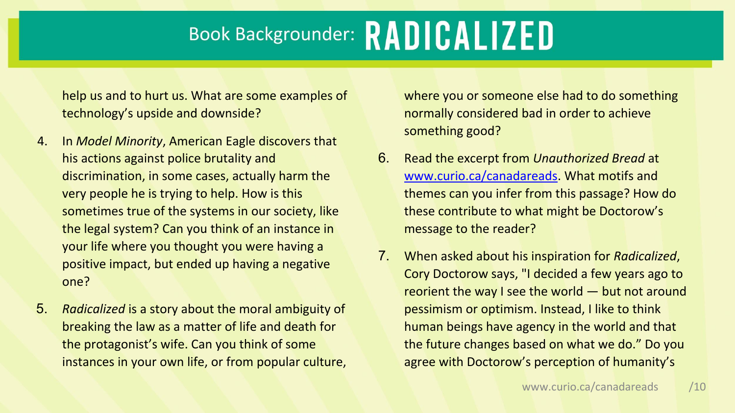help us and to hurt us. What are some examples of technology's upside and downside?

- 4. In *Model Minority*, American Eagle discovers that his actions against police brutality and discrimination, in some cases, actually harm the very people he is trying to help. How is this sometimes true of the systems in our society, like the legal system? Can you think of an instance in your life where you thought you were having a positive impact, but ended up having a negative one?
- 5. *Radicalized* is a story about the moral ambiguity of breaking the law as a matter of life and death for the protagonist's wife. Can you think of some instances in your own life, or from popular culture,

where you or someone else had to do something normally considered bad in order to achieve something good?

- 6. Read the excerpt from *Unauthorized Bread* at [www.curio.ca/canadareads](http://www.curio.ca/canadareads). What motifs and themes can you infer from this passage? How do these contribute to what might be Doctorow's message to the reader?
- 7. When asked about his inspiration for *Radicalized*, Cory Doctorow says, "I decided a few years ago to reorient the way I see the world — but not around pessimism or optimism. Instead, I like to think human beings have agency in the world and that the future changes based on what we do." Do you agree with Doctorow's perception of humanity's